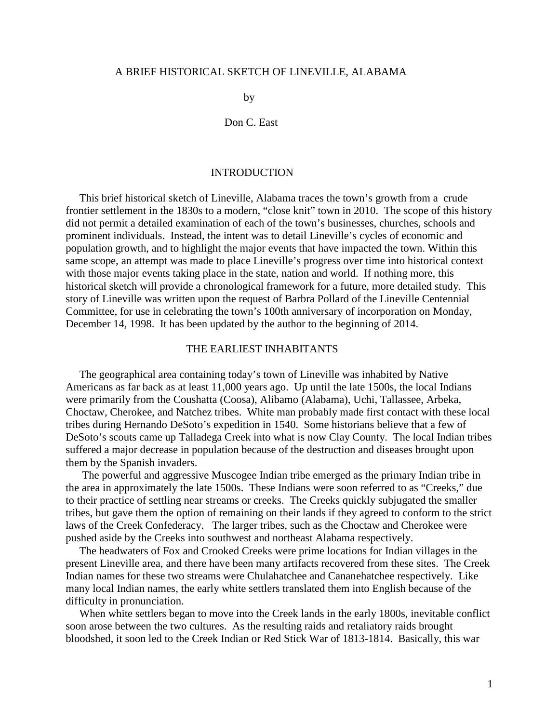#### A BRIEF HISTORICAL SKETCH OF LINEVILLE, ALABAMA

by

Don C. East

### INTRODUCTION

 This brief historical sketch of Lineville, Alabama traces the town's growth from a crude frontier settlement in the 1830s to a modern, "close knit" town in 2010. The scope of this history did not permit a detailed examination of each of the town's businesses, churches, schools and prominent individuals. Instead, the intent was to detail Lineville's cycles of economic and population growth, and to highlight the major events that have impacted the town. Within this same scope, an attempt was made to place Lineville's progress over time into historical context with those major events taking place in the state, nation and world. If nothing more, this historical sketch will provide a chronological framework for a future, more detailed study. This story of Lineville was written upon the request of Barbra Pollard of the Lineville Centennial Committee, for use in celebrating the town's 100th anniversary of incorporation on Monday, December 14, 1998. It has been updated by the author to the beginning of 2014.

#### THE EARLIEST INHABITANTS

 The geographical area containing today's town of Lineville was inhabited by Native Americans as far back as at least 11,000 years ago. Up until the late 1500s, the local Indians were primarily from the Coushatta (Coosa), Alibamo (Alabama), Uchi, Tallassee, Arbeka, Choctaw, Cherokee, and Natchez tribes. White man probably made first contact with these local tribes during Hernando DeSoto's expedition in 1540. Some historians believe that a few of DeSoto's scouts came up Talladega Creek into what is now Clay County. The local Indian tribes suffered a major decrease in population because of the destruction and diseases brought upon them by the Spanish invaders.

 The powerful and aggressive Muscogee Indian tribe emerged as the primary Indian tribe in the area in approximately the late 1500s. These Indians were soon referred to as "Creeks," due to their practice of settling near streams or creeks. The Creeks quickly subjugated the smaller tribes, but gave them the option of remaining on their lands if they agreed to conform to the strict laws of the Creek Confederacy. The larger tribes, such as the Choctaw and Cherokee were pushed aside by the Creeks into southwest and northeast Alabama respectively.

 The headwaters of Fox and Crooked Creeks were prime locations for Indian villages in the present Lineville area, and there have been many artifacts recovered from these sites. The Creek Indian names for these two streams were Chulahatchee and Cananehatchee respectively. Like many local Indian names, the early white settlers translated them into English because of the difficulty in pronunciation.

 When white settlers began to move into the Creek lands in the early 1800s, inevitable conflict soon arose between the two cultures. As the resulting raids and retaliatory raids brought bloodshed, it soon led to the Creek Indian or Red Stick War of 1813-1814. Basically, this war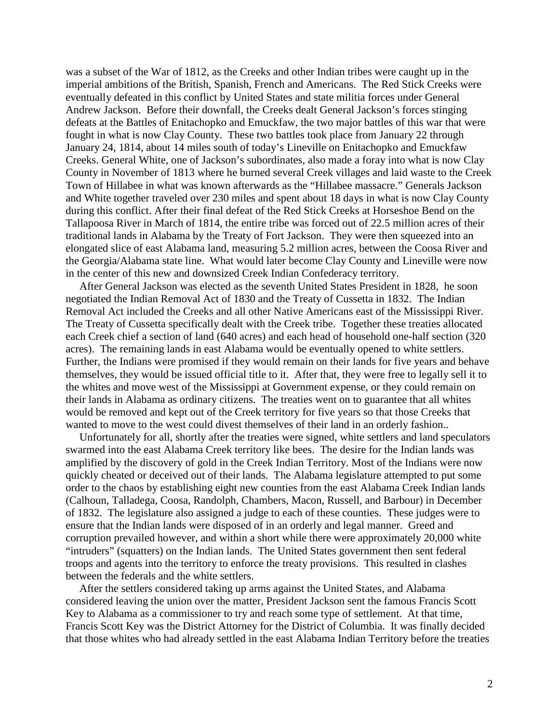was a subset of the War of 1812, as the Creeks and other Indian tribes were caught up in the imperial ambitions of the British, Spanish, French and Americans. The Red Stick Creeks were eventually defeated in this conflict by United States and state militia forces under General Andrew Jackson. Before their downfall, the Creeks dealt General Jackson's forces stinging defeats at the Battles of Enitachopko and Emuckfaw, the two major battles of this war that were fought in what is now Clay County. These two battles took place from January 22 through January 24, 1814, about 14 miles south of today's Lineville on Enitachopko and Emuckfaw Creeks. General White, one of Jackson's subordinates, also made a foray into what is now Clay County in November of 1813 where he burned several Creek villages and laid waste to the Creek Town of Hillabee in what was known afterwards as the "Hillabee massacre." Generals Jackson and White together traveled over 230 miles and spent about 18 days in what is now Clay County during this conflict. After their final defeat of the Red Stick Creeks at Horseshoe Bend on the Tallapoosa River in March of 1814, the entire tribe was forced out of 22.5 million acres of their traditional lands in Alabama by the Treaty of Fort Jackson. They were then squeezed into an elongated slice of east Alabama land, measuring 5.2 million acres, between the Coosa River and the Georgia/Alabama state line. What would later become Clay County and Lineville were now in the center of this new and downsized Creek Indian Confederacy territory.

 After General Jackson was elected as the seventh United States President in 1828, he soon negotiated the Indian Removal Act of 1830 and the Treaty of Cussetta in 1832. The Indian Removal Act included the Creeks and all other Native Americans east of the Mississippi River. The Treaty of Cussetta specifically dealt with the Creek tribe. Together these treaties allocated each Creek chief a section of land (640 acres) and each head of household one-half section (320 acres). The remaining lands in east Alabama would be eventually opened to white settlers. Further, the Indians were promised if they would remain on their lands for five years and behave themselves, they would be issued official title to it. After that, they were free to legally sell it to the whites and move west of the Mississippi at Government expense, or they could remain on their lands in Alabama as ordinary citizens. The treaties went on to guarantee that all whites would be removed and kept out of the Creek territory for five years so that those Creeks that wanted to move to the west could divest themselves of their land in an orderly fashion..

 Unfortunately for all, shortly after the treaties were signed, white settlers and land speculators swarmed into the east Alabama Creek territory like bees. The desire for the Indian lands was amplified by the discovery of gold in the Creek Indian Territory. Most of the Indians were now quickly cheated or deceived out of their lands. The Alabama legislature attempted to put some order to the chaos by establishing eight new counties from the east Alabama Creek Indian lands (Calhoun, Talladega, Coosa, Randolph, Chambers, Macon, Russell, and Barbour) in December of 1832. The legislature also assigned a judge to each of these counties. These judges were to ensure that the Indian lands were disposed of in an orderly and legal manner. Greed and corruption prevailed however, and within a short while there were approximately 20,000 white "intruders" (squatters) on the Indian lands. The United States government then sent federal troops and agents into the territory to enforce the treaty provisions. This resulted in clashes between the federals and the white settlers.

 After the settlers considered taking up arms against the United States, and Alabama considered leaving the union over the matter, President Jackson sent the famous Francis Scott Key to Alabama as a commissioner to try and reach some type of settlement. At that time, Francis Scott Key was the District Attorney for the District of Columbia. It was finally decided that those whites who had already settled in the east Alabama Indian Territory before the treaties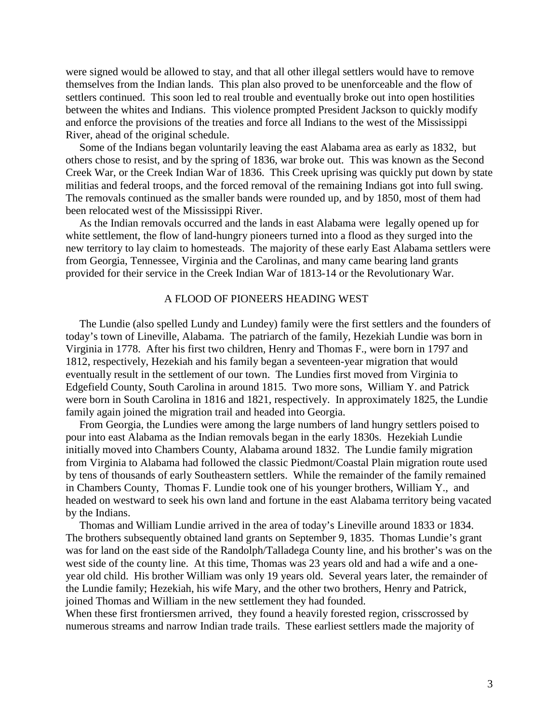were signed would be allowed to stay, and that all other illegal settlers would have to remove themselves from the Indian lands. This plan also proved to be unenforceable and the flow of settlers continued. This soon led to real trouble and eventually broke out into open hostilities between the whites and Indians. This violence prompted President Jackson to quickly modify and enforce the provisions of the treaties and force all Indians to the west of the Mississippi River, ahead of the original schedule.

 Some of the Indians began voluntarily leaving the east Alabama area as early as 1832, but others chose to resist, and by the spring of 1836, war broke out. This was known as the Second Creek War, or the Creek Indian War of 1836. This Creek uprising was quickly put down by state militias and federal troops, and the forced removal of the remaining Indians got into full swing. The removals continued as the smaller bands were rounded up, and by 1850, most of them had been relocated west of the Mississippi River.

 As the Indian removals occurred and the lands in east Alabama were legally opened up for white settlement, the flow of land-hungry pioneers turned into a flood as they surged into the new territory to lay claim to homesteads. The majority of these early East Alabama settlers were from Georgia, Tennessee, Virginia and the Carolinas, and many came bearing land grants provided for their service in the Creek Indian War of 1813-14 or the Revolutionary War.

#### A FLOOD OF PIONEERS HEADING WEST

 The Lundie (also spelled Lundy and Lundey) family were the first settlers and the founders of today's town of Lineville, Alabama. The patriarch of the family, Hezekiah Lundie was born in Virginia in 1778. After his first two children, Henry and Thomas F., were born in 1797 and 1812, respectively, Hezekiah and his family began a seventeen-year migration that would eventually result in the settlement of our town. The Lundies first moved from Virginia to Edgefield County, South Carolina in around 1815. Two more sons, William Y. and Patrick were born in South Carolina in 1816 and 1821, respectively. In approximately 1825, the Lundie family again joined the migration trail and headed into Georgia.

 From Georgia, the Lundies were among the large numbers of land hungry settlers poised to pour into east Alabama as the Indian removals began in the early 1830s. Hezekiah Lundie initially moved into Chambers County, Alabama around 1832. The Lundie family migration from Virginia to Alabama had followed the classic Piedmont/Coastal Plain migration route used by tens of thousands of early Southeastern settlers. While the remainder of the family remained in Chambers County, Thomas F. Lundie took one of his younger brothers, William Y., and headed on westward to seek his own land and fortune in the east Alabama territory being vacated by the Indians.

 Thomas and William Lundie arrived in the area of today's Lineville around 1833 or 1834. The brothers subsequently obtained land grants on September 9, 1835. Thomas Lundie's grant was for land on the east side of the Randolph/Talladega County line, and his brother's was on the west side of the county line. At this time, Thomas was 23 years old and had a wife and a oneyear old child. His brother William was only 19 years old. Several years later, the remainder of the Lundie family; Hezekiah, his wife Mary, and the other two brothers, Henry and Patrick, joined Thomas and William in the new settlement they had founded.

When these first frontiersmen arrived, they found a heavily forested region, crisscrossed by numerous streams and narrow Indian trade trails. These earliest settlers made the majority of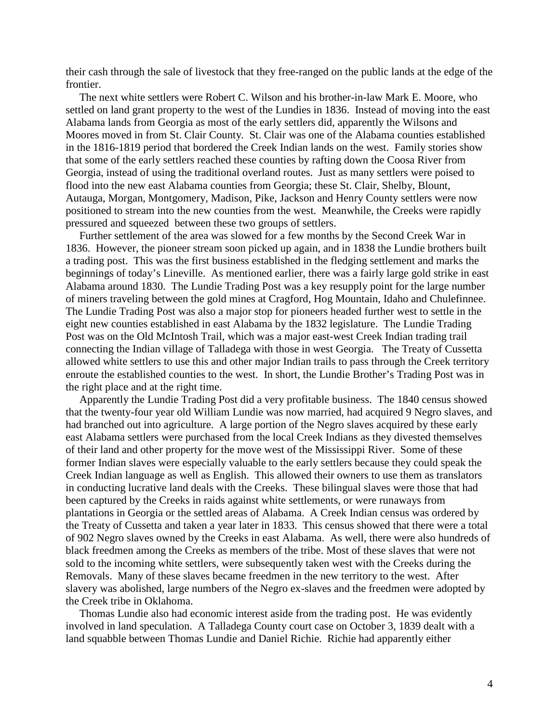their cash through the sale of livestock that they free-ranged on the public lands at the edge of the frontier.

 The next white settlers were Robert C. Wilson and his brother-in-law Mark E. Moore, who settled on land grant property to the west of the Lundies in 1836. Instead of moving into the east Alabama lands from Georgia as most of the early settlers did, apparently the Wilsons and Moores moved in from St. Clair County. St. Clair was one of the Alabama counties established in the 1816-1819 period that bordered the Creek Indian lands on the west. Family stories show that some of the early settlers reached these counties by rafting down the Coosa River from Georgia, instead of using the traditional overland routes. Just as many settlers were poised to flood into the new east Alabama counties from Georgia; these St. Clair, Shelby, Blount, Autauga, Morgan, Montgomery, Madison, Pike, Jackson and Henry County settlers were now positioned to stream into the new counties from the west. Meanwhile, the Creeks were rapidly pressured and squeezed between these two groups of settlers.

 Further settlement of the area was slowed for a few months by the Second Creek War in 1836. However, the pioneer stream soon picked up again, and in 1838 the Lundie brothers built a trading post. This was the first business established in the fledging settlement and marks the beginnings of today's Lineville. As mentioned earlier, there was a fairly large gold strike in east Alabama around 1830. The Lundie Trading Post was a key resupply point for the large number of miners traveling between the gold mines at Cragford, Hog Mountain, Idaho and Chulefinnee. The Lundie Trading Post was also a major stop for pioneers headed further west to settle in the eight new counties established in east Alabama by the 1832 legislature. The Lundie Trading Post was on the Old McIntosh Trail, which was a major east-west Creek Indian trading trail connecting the Indian village of Talladega with those in west Georgia. The Treaty of Cussetta allowed white settlers to use this and other major Indian trails to pass through the Creek territory enroute the established counties to the west. In short, the Lundie Brother's Trading Post was in the right place and at the right time.

 Apparently the Lundie Trading Post did a very profitable business. The 1840 census showed that the twenty-four year old William Lundie was now married, had acquired 9 Negro slaves, and had branched out into agriculture. A large portion of the Negro slaves acquired by these early east Alabama settlers were purchased from the local Creek Indians as they divested themselves of their land and other property for the move west of the Mississippi River. Some of these former Indian slaves were especially valuable to the early settlers because they could speak the Creek Indian language as well as English. This allowed their owners to use them as translators in conducting lucrative land deals with the Creeks. These bilingual slaves were those that had been captured by the Creeks in raids against white settlements, or were runaways from plantations in Georgia or the settled areas of Alabama. A Creek Indian census was ordered by the Treaty of Cussetta and taken a year later in 1833. This census showed that there were a total of 902 Negro slaves owned by the Creeks in east Alabama. As well, there were also hundreds of black freedmen among the Creeks as members of the tribe. Most of these slaves that were not sold to the incoming white settlers, were subsequently taken west with the Creeks during the Removals. Many of these slaves became freedmen in the new territory to the west. After slavery was abolished, large numbers of the Negro ex-slaves and the freedmen were adopted by the Creek tribe in Oklahoma.

 Thomas Lundie also had economic interest aside from the trading post. He was evidently involved in land speculation. A Talladega County court case on October 3, 1839 dealt with a land squabble between Thomas Lundie and Daniel Richie. Richie had apparently either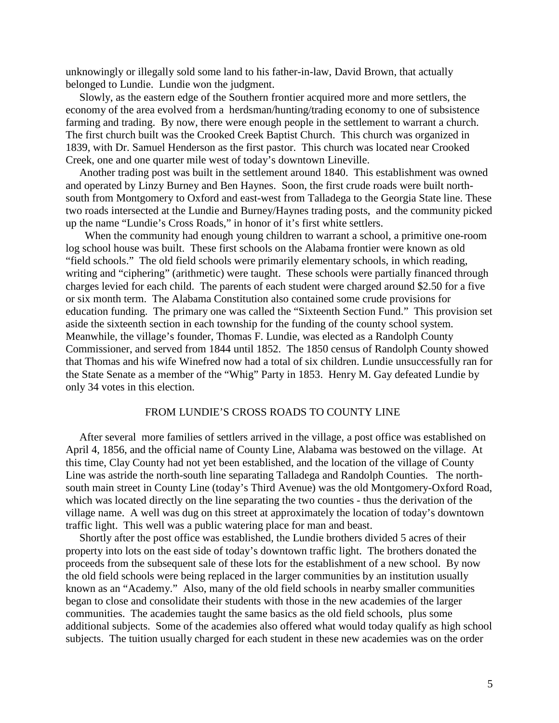unknowingly or illegally sold some land to his father-in-law, David Brown, that actually belonged to Lundie. Lundie won the judgment.

 Slowly, as the eastern edge of the Southern frontier acquired more and more settlers, the economy of the area evolved from a herdsman/hunting/trading economy to one of subsistence farming and trading. By now, there were enough people in the settlement to warrant a church. The first church built was the Crooked Creek Baptist Church. This church was organized in 1839, with Dr. Samuel Henderson as the first pastor. This church was located near Crooked Creek, one and one quarter mile west of today's downtown Lineville.

 Another trading post was built in the settlement around 1840. This establishment was owned and operated by Linzy Burney and Ben Haynes. Soon, the first crude roads were built northsouth from Montgomery to Oxford and east-west from Talladega to the Georgia State line. These two roads intersected at the Lundie and Burney/Haynes trading posts, and the community picked up the name "Lundie's Cross Roads," in honor of it's first white settlers.

 When the community had enough young children to warrant a school, a primitive one-room log school house was built. These first schools on the Alabama frontier were known as old "field schools." The old field schools were primarily elementary schools, in which reading, writing and "ciphering" (arithmetic) were taught. These schools were partially financed through charges levied for each child. The parents of each student were charged around \$2.50 for a five or six month term. The Alabama Constitution also contained some crude provisions for education funding. The primary one was called the "Sixteenth Section Fund." This provision set aside the sixteenth section in each township for the funding of the county school system. Meanwhile, the village's founder, Thomas F. Lundie, was elected as a Randolph County Commissioner, and served from 1844 until 1852. The 1850 census of Randolph County showed that Thomas and his wife Winefred now had a total of six children. Lundie unsuccessfully ran for the State Senate as a member of the "Whig" Party in 1853. Henry M. Gay defeated Lundie by only 34 votes in this election.

# FROM LUNDIE'S CROSS ROADS TO COUNTY LINE

 After several more families of settlers arrived in the village, a post office was established on April 4, 1856, and the official name of County Line, Alabama was bestowed on the village. At this time, Clay County had not yet been established, and the location of the village of County Line was astride the north-south line separating Talladega and Randolph Counties. The northsouth main street in County Line (today's Third Avenue) was the old Montgomery-Oxford Road, which was located directly on the line separating the two counties - thus the derivation of the village name. A well was dug on this street at approximately the location of today's downtown traffic light. This well was a public watering place for man and beast.

 Shortly after the post office was established, the Lundie brothers divided 5 acres of their property into lots on the east side of today's downtown traffic light. The brothers donated the proceeds from the subsequent sale of these lots for the establishment of a new school. By now the old field schools were being replaced in the larger communities by an institution usually known as an "Academy." Also, many of the old field schools in nearby smaller communities began to close and consolidate their students with those in the new academies of the larger communities. The academies taught the same basics as the old field schools, plus some additional subjects. Some of the academies also offered what would today qualify as high school subjects. The tuition usually charged for each student in these new academies was on the order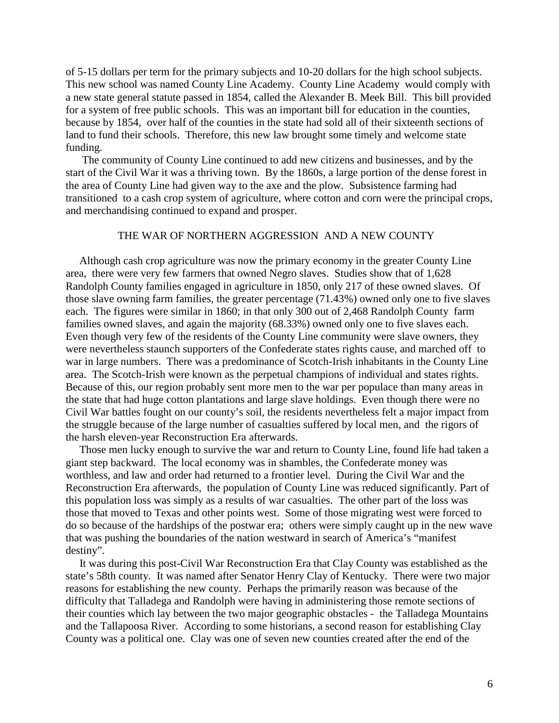of 5-15 dollars per term for the primary subjects and 10-20 dollars for the high school subjects. This new school was named County Line Academy. County Line Academy would comply with a new state general statute passed in 1854, called the Alexander B. Meek Bill. This bill provided for a system of free public schools. This was an important bill for education in the counties, because by 1854, over half of the counties in the state had sold all of their sixteenth sections of land to fund their schools. Therefore, this new law brought some timely and welcome state funding.

 The community of County Line continued to add new citizens and businesses, and by the start of the Civil War it was a thriving town. By the 1860s, a large portion of the dense forest in the area of County Line had given way to the axe and the plow. Subsistence farming had transitioned to a cash crop system of agriculture, where cotton and corn were the principal crops, and merchandising continued to expand and prosper.

## THE WAR OF NORTHERN AGGRESSION AND A NEW COUNTY

 Although cash crop agriculture was now the primary economy in the greater County Line area, there were very few farmers that owned Negro slaves. Studies show that of 1,628 Randolph County families engaged in agriculture in 1850, only 217 of these owned slaves. Of those slave owning farm families, the greater percentage (71.43%) owned only one to five slaves each. The figures were similar in 1860; in that only 300 out of 2,468 Randolph County farm families owned slaves, and again the majority (68.33%) owned only one to five slaves each. Even though very few of the residents of the County Line community were slave owners, they were nevertheless staunch supporters of the Confederate states rights cause, and marched off to war in large numbers. There was a predominance of Scotch-Irish inhabitants in the County Line area. The Scotch-Irish were known as the perpetual champions of individual and states rights. Because of this, our region probably sent more men to the war per populace than many areas in the state that had huge cotton plantations and large slave holdings. Even though there were no Civil War battles fought on our county's soil, the residents nevertheless felt a major impact from the struggle because of the large number of casualties suffered by local men, and the rigors of the harsh eleven-year Reconstruction Era afterwards.

 Those men lucky enough to survive the war and return to County Line, found life had taken a giant step backward. The local economy was in shambles, the Confederate money was worthless, and law and order had returned to a frontier level. During the Civil War and the Reconstruction Era afterwards, the population of County Line was reduced significantly. Part of this population loss was simply as a results of war casualties. The other part of the loss was those that moved to Texas and other points west. Some of those migrating west were forced to do so because of the hardships of the postwar era; others were simply caught up in the new wave that was pushing the boundaries of the nation westward in search of America's "manifest destiny".

 It was during this post-Civil War Reconstruction Era that Clay County was established as the state's 58th county. It was named after Senator Henry Clay of Kentucky. There were two major reasons for establishing the new county. Perhaps the primarily reason was because of the difficulty that Talladega and Randolph were having in administering those remote sections of their counties which lay between the two major geographic obstacles - the Talladega Mountains and the Tallapoosa River. According to some historians, a second reason for establishing Clay County was a political one. Clay was one of seven new counties created after the end of the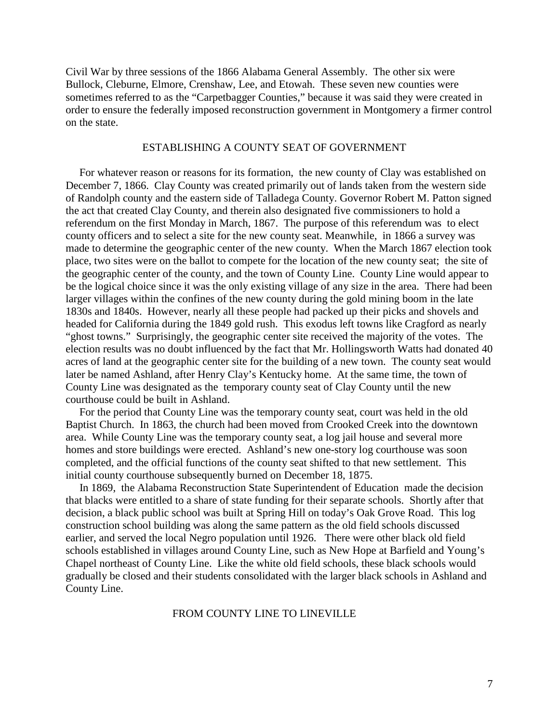Civil War by three sessions of the 1866 Alabama General Assembly. The other six were Bullock, Cleburne, Elmore, Crenshaw, Lee, and Etowah. These seven new counties were sometimes referred to as the "Carpetbagger Counties," because it was said they were created in order to ensure the federally imposed reconstruction government in Montgomery a firmer control on the state.

### ESTABLISHING A COUNTY SEAT OF GOVERNMENT

 For whatever reason or reasons for its formation, the new county of Clay was established on December 7, 1866. Clay County was created primarily out of lands taken from the western side of Randolph county and the eastern side of Talladega County. Governor Robert M. Patton signed the act that created Clay County, and therein also designated five commissioners to hold a referendum on the first Monday in March, 1867. The purpose of this referendum was to elect county officers and to select a site for the new county seat. Meanwhile, in 1866 a survey was made to determine the geographic center of the new county. When the March 1867 election took place, two sites were on the ballot to compete for the location of the new county seat; the site of the geographic center of the county, and the town of County Line. County Line would appear to be the logical choice since it was the only existing village of any size in the area. There had been larger villages within the confines of the new county during the gold mining boom in the late 1830s and 1840s. However, nearly all these people had packed up their picks and shovels and headed for California during the 1849 gold rush. This exodus left towns like Cragford as nearly "ghost towns." Surprisingly, the geographic center site received the majority of the votes. The election results was no doubt influenced by the fact that Mr. Hollingsworth Watts had donated 40 acres of land at the geographic center site for the building of a new town. The county seat would later be named Ashland, after Henry Clay's Kentucky home. At the same time, the town of County Line was designated as the temporary county seat of Clay County until the new courthouse could be built in Ashland.

 For the period that County Line was the temporary county seat, court was held in the old Baptist Church. In 1863, the church had been moved from Crooked Creek into the downtown area. While County Line was the temporary county seat, a log jail house and several more homes and store buildings were erected. Ashland's new one-story log courthouse was soon completed, and the official functions of the county seat shifted to that new settlement. This initial county courthouse subsequently burned on December 18, 1875.

 In 1869, the Alabama Reconstruction State Superintendent of Education made the decision that blacks were entitled to a share of state funding for their separate schools. Shortly after that decision, a black public school was built at Spring Hill on today's Oak Grove Road. This log construction school building was along the same pattern as the old field schools discussed earlier, and served the local Negro population until 1926. There were other black old field schools established in villages around County Line, such as New Hope at Barfield and Young's Chapel northeast of County Line. Like the white old field schools, these black schools would gradually be closed and their students consolidated with the larger black schools in Ashland and County Line.

# FROM COUNTY LINE TO LINEVILLE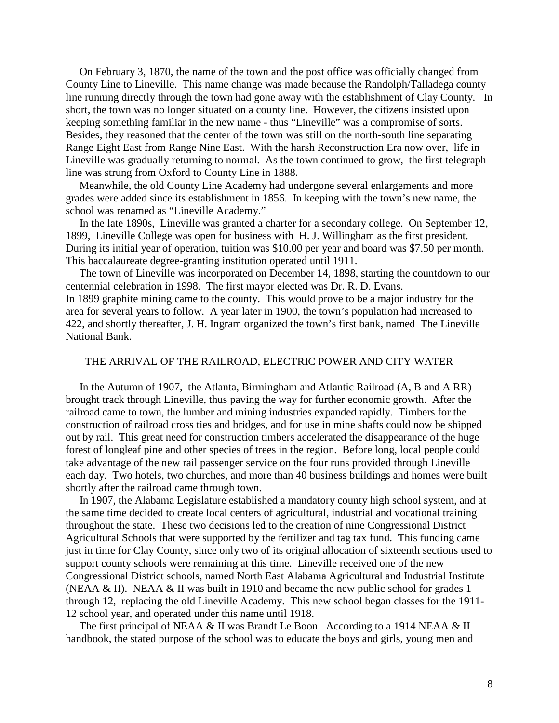On February 3, 1870, the name of the town and the post office was officially changed from County Line to Lineville. This name change was made because the Randolph/Talladega county line running directly through the town had gone away with the establishment of Clay County. In short, the town was no longer situated on a county line. However, the citizens insisted upon keeping something familiar in the new name - thus "Lineville" was a compromise of sorts. Besides, they reasoned that the center of the town was still on the north-south line separating Range Eight East from Range Nine East. With the harsh Reconstruction Era now over, life in Lineville was gradually returning to normal. As the town continued to grow, the first telegraph line was strung from Oxford to County Line in 1888.

 Meanwhile, the old County Line Academy had undergone several enlargements and more grades were added since its establishment in 1856. In keeping with the town's new name, the school was renamed as "Lineville Academy."

 In the late 1890s, Lineville was granted a charter for a secondary college. On September 12, 1899, Lineville College was open for business with H. J. Willingham as the first president. During its initial year of operation, tuition was \$10.00 per year and board was \$7.50 per month. This baccalaureate degree-granting institution operated until 1911.

 The town of Lineville was incorporated on December 14, 1898, starting the countdown to our centennial celebration in 1998. The first mayor elected was Dr. R. D. Evans. In 1899 graphite mining came to the county. This would prove to be a major industry for the area for several years to follow. A year later in 1900, the town's population had increased to 422, and shortly thereafter, J. H. Ingram organized the town's first bank, named The Lineville National Bank.

### THE ARRIVAL OF THE RAILROAD, ELECTRIC POWER AND CITY WATER

 In the Autumn of 1907, the Atlanta, Birmingham and Atlantic Railroad (A, B and A RR) brought track through Lineville, thus paving the way for further economic growth. After the railroad came to town, the lumber and mining industries expanded rapidly. Timbers for the construction of railroad cross ties and bridges, and for use in mine shafts could now be shipped out by rail. This great need for construction timbers accelerated the disappearance of the huge forest of longleaf pine and other species of trees in the region. Before long, local people could take advantage of the new rail passenger service on the four runs provided through Lineville each day. Two hotels, two churches, and more than 40 business buildings and homes were built shortly after the railroad came through town.

 In 1907, the Alabama Legislature established a mandatory county high school system, and at the same time decided to create local centers of agricultural, industrial and vocational training throughout the state. These two decisions led to the creation of nine Congressional District Agricultural Schools that were supported by the fertilizer and tag tax fund. This funding came just in time for Clay County, since only two of its original allocation of sixteenth sections used to support county schools were remaining at this time. Lineville received one of the new Congressional District schools, named North East Alabama Agricultural and Industrial Institute (NEAA & II). NEAA & II was built in 1910 and became the new public school for grades 1 through 12, replacing the old Lineville Academy. This new school began classes for the 1911- 12 school year, and operated under this name until 1918.

The first principal of NEAA & II was Brandt Le Boon. According to a 1914 NEAA & II handbook, the stated purpose of the school was to educate the boys and girls, young men and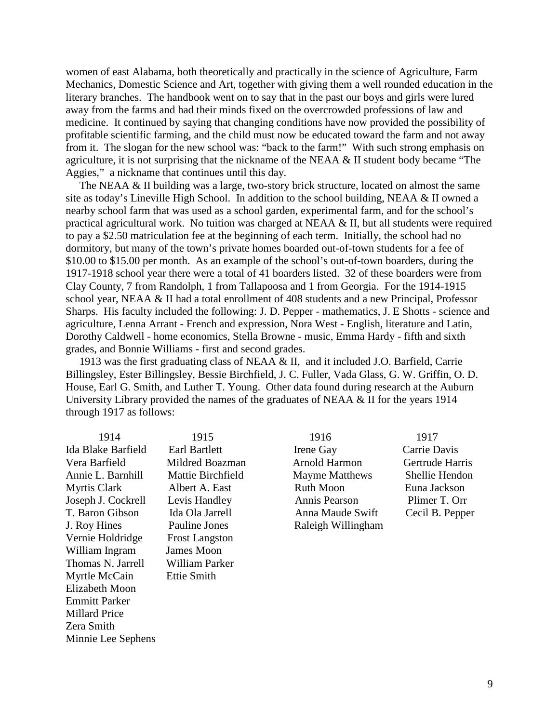women of east Alabama, both theoretically and practically in the science of Agriculture, Farm Mechanics, Domestic Science and Art, together with giving them a well rounded education in the literary branches. The handbook went on to say that in the past our boys and girls were lured away from the farms and had their minds fixed on the overcrowded professions of law and medicine. It continued by saying that changing conditions have now provided the possibility of profitable scientific farming, and the child must now be educated toward the farm and not away from it. The slogan for the new school was: "back to the farm!" With such strong emphasis on agriculture, it is not surprising that the nickname of the NEAA & II student body became "The Aggies," a nickname that continues until this day.

 The NEAA & II building was a large, two-story brick structure, located on almost the same site as today's Lineville High School. In addition to the school building, NEAA & II owned a nearby school farm that was used as a school garden, experimental farm, and for the school's practical agricultural work. No tuition was charged at NEAA & II, but all students were required to pay a \$2.50 matriculation fee at the beginning of each term. Initially, the school had no dormitory, but many of the town's private homes boarded out-of-town students for a fee of \$10.00 to \$15.00 per month. As an example of the school's out-of-town boarders, during the 1917-1918 school year there were a total of 41 boarders listed. 32 of these boarders were from Clay County, 7 from Randolph, 1 from Tallapoosa and 1 from Georgia. For the 1914-1915 school year, NEAA & II had a total enrollment of 408 students and a new Principal, Professor Sharps. His faculty included the following: J. D. Pepper - mathematics, J. E Shotts - science and agriculture, Lenna Arrant - French and expression, Nora West - English, literature and Latin, Dorothy Caldwell - home economics, Stella Browne - music, Emma Hardy - fifth and sixth grades, and Bonnie Williams - first and second grades.

 1913 was the first graduating class of NEAA & II, and it included J.O. Barfield, Carrie Billingsley, Ester Billingsley, Bessie Birchfield, J. C. Fuller, Vada Glass, G. W. Griffin, O. D. House, Earl G. Smith, and Luther T. Young. Other data found during research at the Auburn University Library provided the names of the graduates of NEAA & II for the years 1914 through 1917 as follows:

Ida Blake Barfield Earl Bartlett Irene Gay Carrie Davis Vera Barfield Mildred Boazman Arnold Harmon Gertrude Harris Annie L. Barnhill Mattie Birchfield Mayme Matthews Shellie Hendon Myrtis Clark Albert A. East Ruth Moon Euna Jackson Joseph J. Cockrell Levis Handley Annis Pearson Plimer T. Orr T. Baron Gibson Ida Ola Jarrell Anna Maude Swift Cecil B. Pepper J. Roy Hines Pauline Jones Raleigh Willingham Vernie Holdridge Frost Langston William Ingram James Moon Thomas N. Jarrell William Parker Myrtle McCain Ettie Smith Elizabeth Moon Emmitt Parker Millard Price Zera Smith Minnie Lee Sephens

- 1914 1915 1916 1917
	-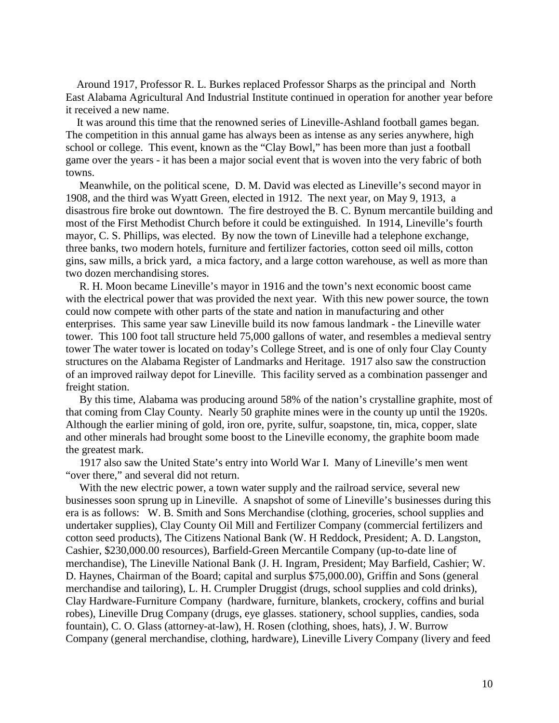Around 1917, Professor R. L. Burkes replaced Professor Sharps as the principal and North East Alabama Agricultural And Industrial Institute continued in operation for another year before it received a new name.

 It was around this time that the renowned series of Lineville-Ashland football games began. The competition in this annual game has always been as intense as any series anywhere, high school or college. This event, known as the "Clay Bowl," has been more than just a football game over the years - it has been a major social event that is woven into the very fabric of both towns.

 Meanwhile, on the political scene, D. M. David was elected as Lineville's second mayor in 1908, and the third was Wyatt Green, elected in 1912. The next year, on May 9, 1913, a disastrous fire broke out downtown. The fire destroyed the B. C. Bynum mercantile building and most of the First Methodist Church before it could be extinguished. In 1914, Lineville's fourth mayor, C. S. Phillips, was elected. By now the town of Lineville had a telephone exchange, three banks, two modern hotels, furniture and fertilizer factories, cotton seed oil mills, cotton gins, saw mills, a brick yard, a mica factory, and a large cotton warehouse, as well as more than two dozen merchandising stores.

 R. H. Moon became Lineville's mayor in 1916 and the town's next economic boost came with the electrical power that was provided the next year. With this new power source, the town could now compete with other parts of the state and nation in manufacturing and other enterprises. This same year saw Lineville build its now famous landmark - the Lineville water tower. This 100 foot tall structure held 75,000 gallons of water, and resembles a medieval sentry tower The water tower is located on today's College Street, and is one of only four Clay County structures on the Alabama Register of Landmarks and Heritage. 1917 also saw the construction of an improved railway depot for Lineville. This facility served as a combination passenger and freight station.

 By this time, Alabama was producing around 58% of the nation's crystalline graphite, most of that coming from Clay County. Nearly 50 graphite mines were in the county up until the 1920s. Although the earlier mining of gold, iron ore, pyrite, sulfur, soapstone, tin, mica, copper, slate and other minerals had brought some boost to the Lineville economy, the graphite boom made the greatest mark.

 1917 also saw the United State's entry into World War I. Many of Lineville's men went "over there," and several did not return.

 With the new electric power, a town water supply and the railroad service, several new businesses soon sprung up in Lineville. A snapshot of some of Lineville's businesses during this era is as follows: W. B. Smith and Sons Merchandise (clothing, groceries, school supplies and undertaker supplies), Clay County Oil Mill and Fertilizer Company (commercial fertilizers and cotton seed products), The Citizens National Bank (W. H Reddock, President; A. D. Langston, Cashier, \$230,000.00 resources), Barfield-Green Mercantile Company (up-to-date line of merchandise), The Lineville National Bank (J. H. Ingram, President; May Barfield, Cashier; W. D. Haynes, Chairman of the Board; capital and surplus \$75,000.00), Griffin and Sons (general merchandise and tailoring), L. H. Crumpler Druggist (drugs, school supplies and cold drinks), Clay Hardware-Furniture Company (hardware, furniture, blankets, crockery, coffins and burial robes), Lineville Drug Company (drugs, eye glasses. stationery, school supplies, candies, soda fountain), C. O. Glass (attorney-at-law), H. Rosen (clothing, shoes, hats), J. W. Burrow Company (general merchandise, clothing, hardware), Lineville Livery Company (livery and feed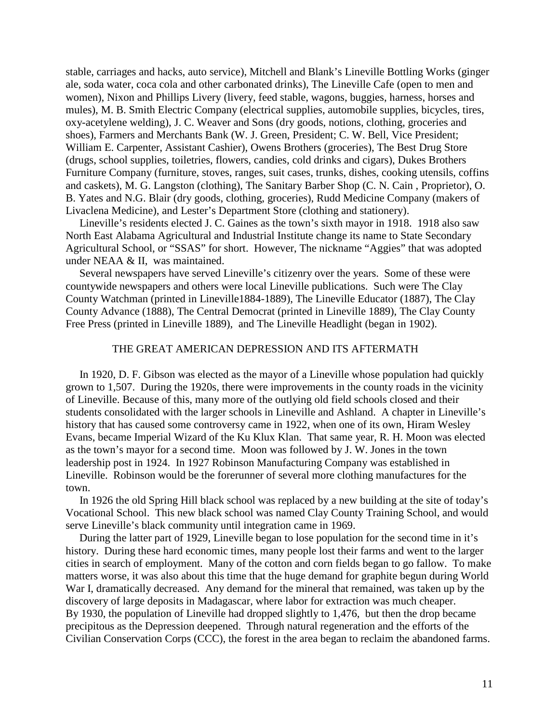stable, carriages and hacks, auto service), Mitchell and Blank's Lineville Bottling Works (ginger ale, soda water, coca cola and other carbonated drinks), The Lineville Cafe (open to men and women), Nixon and Phillips Livery (livery, feed stable, wagons, buggies, harness, horses and mules), M. B. Smith Electric Company (electrical supplies, automobile supplies, bicycles, tires, oxy-acetylene welding), J. C. Weaver and Sons (dry goods, notions, clothing, groceries and shoes), Farmers and Merchants Bank (W. J. Green, President; C. W. Bell, Vice President; William E. Carpenter, Assistant Cashier), Owens Brothers (groceries), The Best Drug Store (drugs, school supplies, toiletries, flowers, candies, cold drinks and cigars), Dukes Brothers Furniture Company (furniture, stoves, ranges, suit cases, trunks, dishes, cooking utensils, coffins and caskets), M. G. Langston (clothing), The Sanitary Barber Shop (C. N. Cain , Proprietor), O. B. Yates and N.G. Blair (dry goods, clothing, groceries), Rudd Medicine Company (makers of Livaclena Medicine), and Lester's Department Store (clothing and stationery).

 Lineville's residents elected J. C. Gaines as the town's sixth mayor in 1918. 1918 also saw North East Alabama Agricultural and Industrial Institute change its name to State Secondary Agricultural School, or "SSAS" for short. However, The nickname "Aggies" that was adopted under NEAA & II, was maintained.

 Several newspapers have served Lineville's citizenry over the years. Some of these were countywide newspapers and others were local Lineville publications. Such were The Clay County Watchman (printed in Lineville1884-1889), The Lineville Educator (1887), The Clay County Advance (1888), The Central Democrat (printed in Lineville 1889), The Clay County Free Press (printed in Lineville 1889), and The Lineville Headlight (began in 1902).

## THE GREAT AMERICAN DEPRESSION AND ITS AFTERMATH

 In 1920, D. F. Gibson was elected as the mayor of a Lineville whose population had quickly grown to 1,507. During the 1920s, there were improvements in the county roads in the vicinity of Lineville. Because of this, many more of the outlying old field schools closed and their students consolidated with the larger schools in Lineville and Ashland. A chapter in Lineville's history that has caused some controversy came in 1922, when one of its own, Hiram Wesley Evans, became Imperial Wizard of the Ku Klux Klan. That same year, R. H. Moon was elected as the town's mayor for a second time. Moon was followed by J. W. Jones in the town leadership post in 1924. In 1927 Robinson Manufacturing Company was established in Lineville. Robinson would be the forerunner of several more clothing manufactures for the town.

 In 1926 the old Spring Hill black school was replaced by a new building at the site of today's Vocational School. This new black school was named Clay County Training School, and would serve Lineville's black community until integration came in 1969.

 During the latter part of 1929, Lineville began to lose population for the second time in it's history. During these hard economic times, many people lost their farms and went to the larger cities in search of employment. Many of the cotton and corn fields began to go fallow. To make matters worse, it was also about this time that the huge demand for graphite begun during World War I, dramatically decreased. Any demand for the mineral that remained, was taken up by the discovery of large deposits in Madagascar, where labor for extraction was much cheaper. By 1930, the population of Lineville had dropped slightly to 1,476, but then the drop became precipitous as the Depression deepened. Through natural regeneration and the efforts of the Civilian Conservation Corps (CCC), the forest in the area began to reclaim the abandoned farms.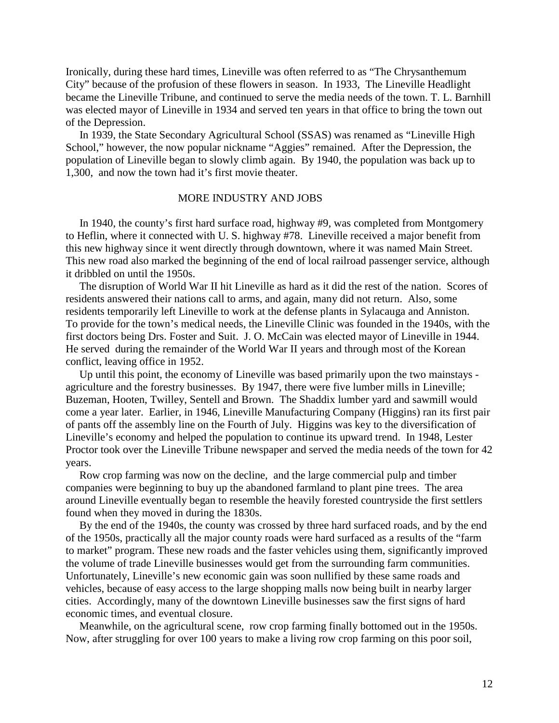Ironically, during these hard times, Lineville was often referred to as "The Chrysanthemum City" because of the profusion of these flowers in season. In 1933, The Lineville Headlight became the Lineville Tribune, and continued to serve the media needs of the town. T. L. Barnhill was elected mayor of Lineville in 1934 and served ten years in that office to bring the town out of the Depression.

 In 1939, the State Secondary Agricultural School (SSAS) was renamed as "Lineville High School," however, the now popular nickname "Aggies" remained. After the Depression, the population of Lineville began to slowly climb again. By 1940, the population was back up to 1,300, and now the town had it's first movie theater.

### MORE INDUSTRY AND JOBS

 In 1940, the county's first hard surface road, highway #9, was completed from Montgomery to Heflin, where it connected with U. S. highway #78. Lineville received a major benefit from this new highway since it went directly through downtown, where it was named Main Street. This new road also marked the beginning of the end of local railroad passenger service, although it dribbled on until the 1950s.

 The disruption of World War II hit Lineville as hard as it did the rest of the nation. Scores of residents answered their nations call to arms, and again, many did not return. Also, some residents temporarily left Lineville to work at the defense plants in Sylacauga and Anniston. To provide for the town's medical needs, the Lineville Clinic was founded in the 1940s, with the first doctors being Drs. Foster and Suit. J. O. McCain was elected mayor of Lineville in 1944. He served during the remainder of the World War II years and through most of the Korean conflict, leaving office in 1952.

 Up until this point, the economy of Lineville was based primarily upon the two mainstays agriculture and the forestry businesses. By 1947, there were five lumber mills in Lineville; Buzeman, Hooten, Twilley, Sentell and Brown. The Shaddix lumber yard and sawmill would come a year later. Earlier, in 1946, Lineville Manufacturing Company (Higgins) ran its first pair of pants off the assembly line on the Fourth of July. Higgins was key to the diversification of Lineville's economy and helped the population to continue its upward trend. In 1948, Lester Proctor took over the Lineville Tribune newspaper and served the media needs of the town for 42 years.

 Row crop farming was now on the decline, and the large commercial pulp and timber companies were beginning to buy up the abandoned farmland to plant pine trees. The area around Lineville eventually began to resemble the heavily forested countryside the first settlers found when they moved in during the 1830s.

 By the end of the 1940s, the county was crossed by three hard surfaced roads, and by the end of the 1950s, practically all the major county roads were hard surfaced as a results of the "farm to market" program. These new roads and the faster vehicles using them, significantly improved the volume of trade Lineville businesses would get from the surrounding farm communities. Unfortunately, Lineville's new economic gain was soon nullified by these same roads and vehicles, because of easy access to the large shopping malls now being built in nearby larger cities. Accordingly, many of the downtown Lineville businesses saw the first signs of hard economic times, and eventual closure.

 Meanwhile, on the agricultural scene, row crop farming finally bottomed out in the 1950s. Now, after struggling for over 100 years to make a living row crop farming on this poor soil,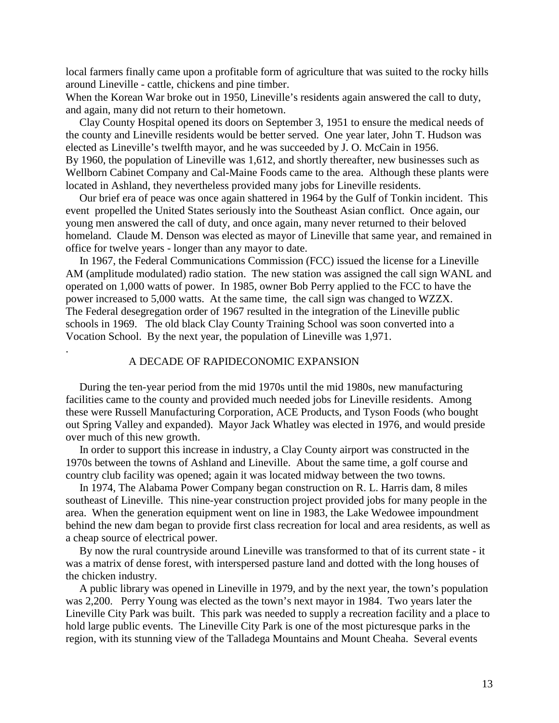local farmers finally came upon a profitable form of agriculture that was suited to the rocky hills around Lineville - cattle, chickens and pine timber.

When the Korean War broke out in 1950, Lineville's residents again answered the call to duty, and again, many did not return to their hometown.

 Clay County Hospital opened its doors on September 3, 1951 to ensure the medical needs of the county and Lineville residents would be better served. One year later, John T. Hudson was elected as Lineville's twelfth mayor, and he was succeeded by J. O. McCain in 1956. By 1960, the population of Lineville was 1,612, and shortly thereafter, new businesses such as Wellborn Cabinet Company and Cal-Maine Foods came to the area. Although these plants were located in Ashland, they nevertheless provided many jobs for Lineville residents.

 Our brief era of peace was once again shattered in 1964 by the Gulf of Tonkin incident. This event propelled the United States seriously into the Southeast Asian conflict. Once again, our young men answered the call of duty, and once again, many never returned to their beloved homeland. Claude M. Denson was elected as mayor of Lineville that same year, and remained in office for twelve years - longer than any mayor to date.

 In 1967, the Federal Communications Commission (FCC) issued the license for a Lineville AM (amplitude modulated) radio station. The new station was assigned the call sign WANL and operated on 1,000 watts of power. In 1985, owner Bob Perry applied to the FCC to have the power increased to 5,000 watts. At the same time, the call sign was changed to WZZX. The Federal desegregation order of 1967 resulted in the integration of the Lineville public schools in 1969. The old black Clay County Training School was soon converted into a Vocation School. By the next year, the population of Lineville was 1,971.

### A DECADE OF RAPIDECONOMIC EXPANSION

.

 During the ten-year period from the mid 1970s until the mid 1980s, new manufacturing facilities came to the county and provided much needed jobs for Lineville residents. Among these were Russell Manufacturing Corporation, ACE Products, and Tyson Foods (who bought out Spring Valley and expanded). Mayor Jack Whatley was elected in 1976, and would preside over much of this new growth.

 In order to support this increase in industry, a Clay County airport was constructed in the 1970s between the towns of Ashland and Lineville. About the same time, a golf course and country club facility was opened; again it was located midway between the two towns.

 In 1974, The Alabama Power Company began construction on R. L. Harris dam, 8 miles southeast of Lineville. This nine-year construction project provided jobs for many people in the area. When the generation equipment went on line in 1983, the Lake Wedowee impoundment behind the new dam began to provide first class recreation for local and area residents, as well as a cheap source of electrical power.

 By now the rural countryside around Lineville was transformed to that of its current state - it was a matrix of dense forest, with interspersed pasture land and dotted with the long houses of the chicken industry.

 A public library was opened in Lineville in 1979, and by the next year, the town's population was 2,200. Perry Young was elected as the town's next mayor in 1984. Two years later the Lineville City Park was built. This park was needed to supply a recreation facility and a place to hold large public events. The Lineville City Park is one of the most picturesque parks in the region, with its stunning view of the Talladega Mountains and Mount Cheaha. Several events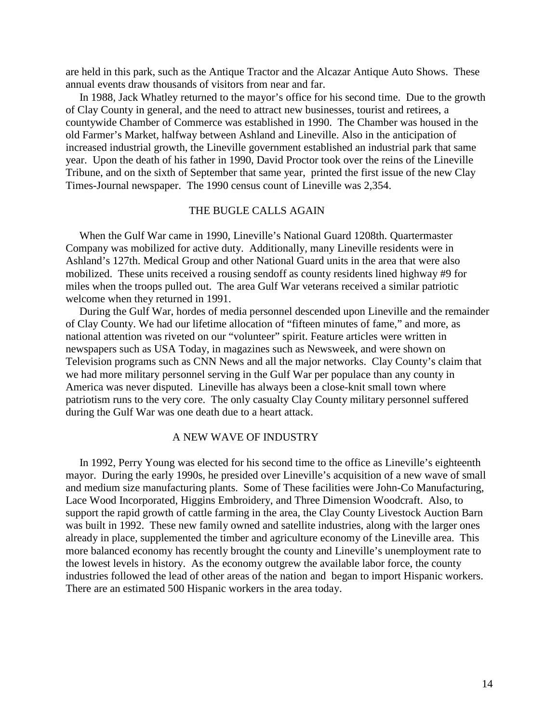are held in this park, such as the Antique Tractor and the Alcazar Antique Auto Shows. These annual events draw thousands of visitors from near and far.

 In 1988, Jack Whatley returned to the mayor's office for his second time. Due to the growth of Clay County in general, and the need to attract new businesses, tourist and retirees, a countywide Chamber of Commerce was established in 1990. The Chamber was housed in the old Farmer's Market, halfway between Ashland and Lineville. Also in the anticipation of increased industrial growth, the Lineville government established an industrial park that same year. Upon the death of his father in 1990, David Proctor took over the reins of the Lineville Tribune, and on the sixth of September that same year, printed the first issue of the new Clay Times-Journal newspaper. The 1990 census count of Lineville was 2,354.

# THE BUGLE CALLS AGAIN

 When the Gulf War came in 1990, Lineville's National Guard 1208th. Quartermaster Company was mobilized for active duty. Additionally, many Lineville residents were in Ashland's 127th. Medical Group and other National Guard units in the area that were also mobilized. These units received a rousing sendoff as county residents lined highway #9 for miles when the troops pulled out. The area Gulf War veterans received a similar patriotic welcome when they returned in 1991.

 During the Gulf War, hordes of media personnel descended upon Lineville and the remainder of Clay County. We had our lifetime allocation of "fifteen minutes of fame," and more, as national attention was riveted on our "volunteer" spirit. Feature articles were written in newspapers such as USA Today, in magazines such as Newsweek, and were shown on Television programs such as CNN News and all the major networks. Clay County's claim that we had more military personnel serving in the Gulf War per populace than any county in America was never disputed. Lineville has always been a close-knit small town where patriotism runs to the very core. The only casualty Clay County military personnel suffered during the Gulf War was one death due to a heart attack.

## A NEW WAVE OF INDUSTRY

 In 1992, Perry Young was elected for his second time to the office as Lineville's eighteenth mayor. During the early 1990s, he presided over Lineville's acquisition of a new wave of small and medium size manufacturing plants. Some of These facilities were John-Co Manufacturing, Lace Wood Incorporated, Higgins Embroidery, and Three Dimension Woodcraft. Also, to support the rapid growth of cattle farming in the area, the Clay County Livestock Auction Barn was built in 1992. These new family owned and satellite industries, along with the larger ones already in place, supplemented the timber and agriculture economy of the Lineville area. This more balanced economy has recently brought the county and Lineville's unemployment rate to the lowest levels in history. As the economy outgrew the available labor force, the county industries followed the lead of other areas of the nation and began to import Hispanic workers. There are an estimated 500 Hispanic workers in the area today.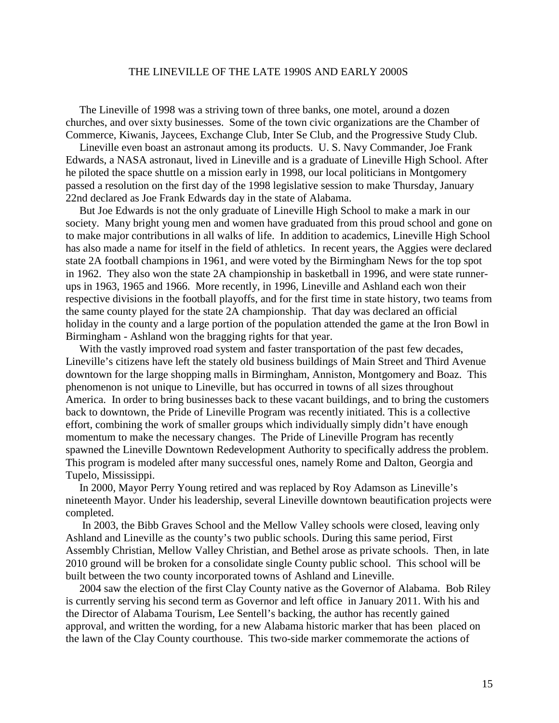## THE LINEVILLE OF THE LATE 1990S AND EARLY 2000S

 The Lineville of 1998 was a striving town of three banks, one motel, around a dozen churches, and over sixty businesses. Some of the town civic organizations are the Chamber of Commerce, Kiwanis, Jaycees, Exchange Club, Inter Se Club, and the Progressive Study Club.

 Lineville even boast an astronaut among its products. U. S. Navy Commander, Joe Frank Edwards, a NASA astronaut, lived in Lineville and is a graduate of Lineville High School. After he piloted the space shuttle on a mission early in 1998, our local politicians in Montgomery passed a resolution on the first day of the 1998 legislative session to make Thursday, January 22nd declared as Joe Frank Edwards day in the state of Alabama.

 But Joe Edwards is not the only graduate of Lineville High School to make a mark in our society. Many bright young men and women have graduated from this proud school and gone on to make major contributions in all walks of life. In addition to academics, Lineville High School has also made a name for itself in the field of athletics. In recent years, the Aggies were declared state 2A football champions in 1961, and were voted by the Birmingham News for the top spot in 1962. They also won the state 2A championship in basketball in 1996, and were state runnerups in 1963, 1965 and 1966. More recently, in 1996, Lineville and Ashland each won their respective divisions in the football playoffs, and for the first time in state history, two teams from the same county played for the state 2A championship. That day was declared an official holiday in the county and a large portion of the population attended the game at the Iron Bowl in Birmingham - Ashland won the bragging rights for that year.

 With the vastly improved road system and faster transportation of the past few decades, Lineville's citizens have left the stately old business buildings of Main Street and Third Avenue downtown for the large shopping malls in Birmingham, Anniston, Montgomery and Boaz. This phenomenon is not unique to Lineville, but has occurred in towns of all sizes throughout America. In order to bring businesses back to these vacant buildings, and to bring the customers back to downtown, the Pride of Lineville Program was recently initiated. This is a collective effort, combining the work of smaller groups which individually simply didn't have enough momentum to make the necessary changes. The Pride of Lineville Program has recently spawned the Lineville Downtown Redevelopment Authority to specifically address the problem. This program is modeled after many successful ones, namely Rome and Dalton, Georgia and Tupelo, Mississippi.

 In 2000, Mayor Perry Young retired and was replaced by Roy Adamson as Lineville's nineteenth Mayor. Under his leadership, several Lineville downtown beautification projects were completed.

 In 2003, the Bibb Graves School and the Mellow Valley schools were closed, leaving only Ashland and Lineville as the county's two public schools. During this same period, First Assembly Christian, Mellow Valley Christian, and Bethel arose as private schools. Then, in late 2010 ground will be broken for a consolidate single County public school. This school will be built between the two county incorporated towns of Ashland and Lineville.

 2004 saw the election of the first Clay County native as the Governor of Alabama. Bob Riley is currently serving his second term as Governor and left office in January 2011. With his and the Director of Alabama Tourism, Lee Sentell's backing, the author has recently gained approval, and written the wording, for a new Alabama historic marker that has been placed on the lawn of the Clay County courthouse. This two-side marker commemorate the actions of